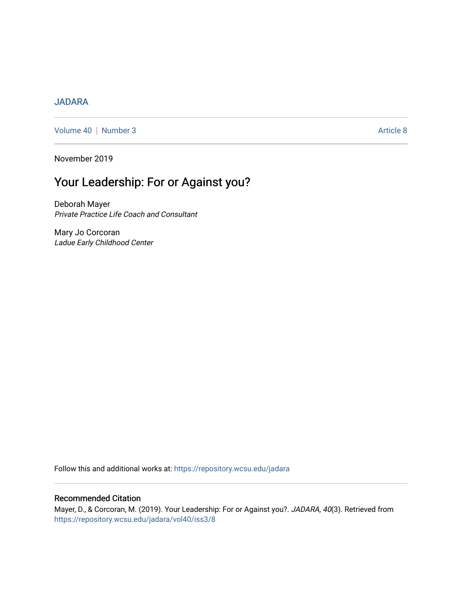#### [JADARA](https://repository.wcsu.edu/jadara)

[Volume 40](https://repository.wcsu.edu/jadara/vol40) | [Number 3](https://repository.wcsu.edu/jadara/vol40/iss3) Article 8

November 2019

# Your Leadership: For or Against you?

Deborah Mayer Private Practice Life Coach and Consultant

Mary Jo Corcoran Ladue Early Childhood Center

Follow this and additional works at: [https://repository.wcsu.edu/jadara](https://repository.wcsu.edu/jadara?utm_source=repository.wcsu.edu%2Fjadara%2Fvol40%2Fiss3%2F8&utm_medium=PDF&utm_campaign=PDFCoverPages)

#### Recommended Citation

Mayer, D., & Corcoran, M. (2019). Your Leadership: For or Against you?. JADARA, 40(3). Retrieved from [https://repository.wcsu.edu/jadara/vol40/iss3/8](https://repository.wcsu.edu/jadara/vol40/iss3/8?utm_source=repository.wcsu.edu%2Fjadara%2Fvol40%2Fiss3%2F8&utm_medium=PDF&utm_campaign=PDFCoverPages)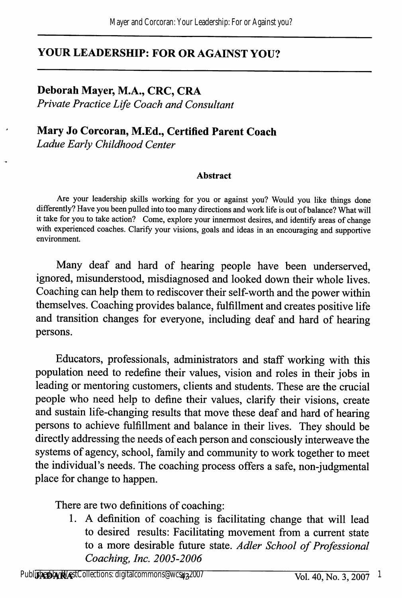# YOUR LEADERSHIP: FOR OR AGAINST YOU?

## Deborah Mayer, M.A., CRC, CRA

Private Practice Life Coach and Consultant

#### Mary Jo Corcoran, M.Ed., Certified Parent Coach Ladue Early Childhood Center

#### Abstract

Are your leadership skills working for you or against you? Would you like things done differently? Have you been pulled into too many directions and work life is out of balance? What will it take for you to take action? Come, explore your iimermost desires, and identify areas of change with experienced coaches. Clarify your visions, goals and ideas in an encouraging and supportive environment.

Many deaf and hard of hearing people have been underserved, ignored, misunderstood, misdiagnosed and looked down their whole lives. Coaching can help them to rediscover their self-worth and the power within themselves. Coaching provides balance, fulfillment and creates positive life and transition changes for everyone, including deaf and hard of hearing persons.

Educators, professionals, administrators and staff working with this population need to redefine their values, vision and roles in their jobs in leading or mentoring customers, clients and students. These are the crucial people who need help to define their values, clarify their visions, create and sustain life-changing results that move these deaf and hard of hearing persons to achieve fulfillment and balance in their lives. They should be directly addressing the needs of each person and consciously interweave the systems of agency, school, family and community to work together to meet the individual's needs. The coaching process offers a safe, non-judgmental place for change to happen.

There are two definitions of coaching:

1. A definition of coaching is facilitating change that will lead to desired results: Facilitating movement from a current state to a more desirable future state. Adler School of Professional Coaching, Inc. 2005-2006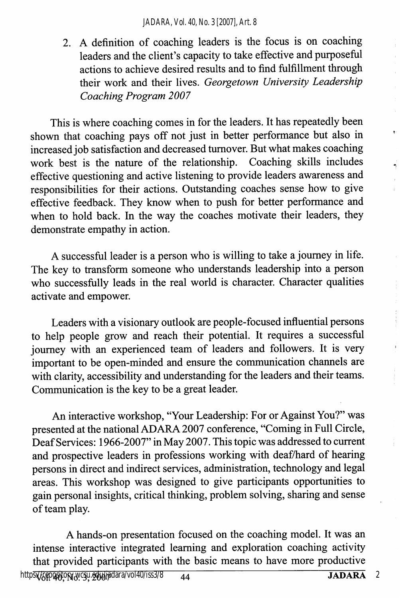2. A definition of coaching leaders is the focus is on coaching leaders and the client's capacity to take effective and purposeful actions to achieve desired results and to find fulfillment through their work and their lives. Georgetown University Leadership Coaching Program 2007

This is where coaching comes in for the leaders. It has repeatedly been shown that coaching pays off not just in better performance but also in increased job satisfaction and decreased turnover. But what makes coaching work best is the nature of the relationship. Coaching skills includes effective questioning and active listening to provide leaders awareness and responsibilities for their actions. Outstanding coaches sense how to give effective feedback. They know when to push for better performance and when to hold back. In the way the coaches motivate their leaders, they demonstrate empathy in action.

A successful leader is a person who is willing to take a journey in life. The key to transform someone who understands leadership into a person who successfully leads in the real world is character. Character qualities activate and empower.

Leaders with a visionary outlook are people-focused influential persons to help people grow and reach their potential. It requires a successful journey with an experienced team of leaders and followers. It is very important to be open-minded and ensure the communication charmels are with clarity, accessibility and understanding for the leaders and their teams. Communication is the key to be a great leader.

An interactive workshop, "Your Leadership: For or Against You?" was presented at the national ADARA 2007 conference, "Coming in Full Circle, Deaf Services: 1966-2007" in May 2007. This topic was addressed to current and prospective leaders in professions working with deaf/hard of hearing persons in direct and indirect services, administration, technology and legal areas. This workshop was designed to give participants opportunities to gain personal insights, critical thinking, problem solving, sharing and sense of team play.

A hands-on presentation focused on the coaching model. It was an intense interactive integrated learning and exploration coaching activity that provided participants with the basic means to have more productive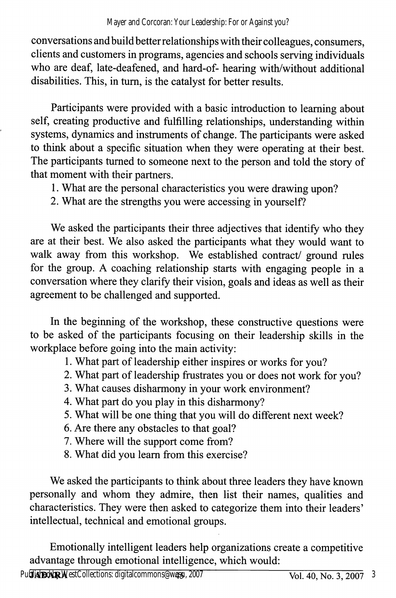conversations and build better relationships with their colleagues, consumers, clients and customers in programs, agencies and schools serving individuals who are deaf, late-deafened, and hard-of- hearing with/without additional disabilities. This, in turn, is the catalyst for better results.

Participants were provided with a basic introduction to learning about self, creating productive and fulfilling relationships, understanding within systems, dynamics and instruments of change. The participants were asked to think about a specific situation when they were operating at their best. The participants tumed to someone next to the person and told the story of that moment with their partners.

1. What are the personal characteristics you were drawing upon?

2. What are the strengths you were accessing in yourself?

We asked the participants their three adjectives that identify who they are at their best. We also asked the participants what they would want to walk away from this workshop. We established contract/ ground rules for the group. A coaching relationship starts with engaging people in a conversation where they clarify their vision, goals and ideas as well as their agreement to be challenged and supported.

In the beginning of the workshop, these constructive questions were to be asked of the participants focusing on their leadership skills in the workplace before going into the main activity:

1. What part of leadership either inspires or works for you?

- 2. What part of leadership frustrates you or does not work for you?
- 3. What causes disharmony in your work environment?
- 4. What part do you play in this disharmony?
- 5. What will be one thing that you will do different next week?
- 6. Are there any obstacles to that goal?
- 7. Where will the support come from?
- 8. What did you learn from this exercise?

We asked the participants to think about three leaders they have known personally and whom they admire, then list their names, qualities and characteristics. They were then asked to categorize them into their leaders' intellectual, technical and emotional groups.

Emotionally intelligent leaders help organizations create a competitive advantage through emotional intelligence, which would: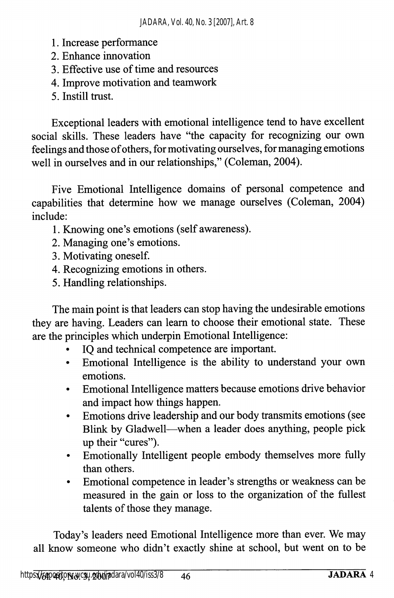- 1. Increase performance
- 2. Enhance irmovation
- 3. Effective use of time and resources
- 4. Improve motivation and teamwork
- 5. Instill trust.

Exceptional leaders with emotional intelligence tend to have excellent social skills. These leaders have "the capacity for recognizing our own feelings and those of others, for motivating ourselves, for managing emotions well in ourselves and in our relationships," (Coleman, 2004).

Five Emotional Intelligence domains of personal competence and capabilities that determine how we manage ourselves (Coleman, 2004) include:

- 1. Knowing one's emotions (self awareness).
- 2. Managing one's emotions.
- 3. Motivating oneself.
- 4. Recognizing emotions in others.
- 5. Handling relationships.

The main point is that leaders can stop having the undesirable emotions they are having. Leaders can leam to choose their emotional state. These are the principles which underpin Emotional Intelligence:

- IO and technical competence are important.
- Emotional Intelligence is the ability to understand your own emotions.
- Emotional Intelligence matters because emotions drive behavior and impact how things happen.
- Emotions drive leadership and our body transmits emotions (see Blink by Gladwell—when a leader does anything, people pick up their "cures").
- Emotionally Intelligent people embody themselves more fully than others.
- Emotional competence in leader's strengths or weakness can be measured in the gain or loss to the organization of the fullest talents of those they manage.

Today's leaders need Emotional Intelligence more than ever. We may all know someone who didn't exactly shine at school, but went on to be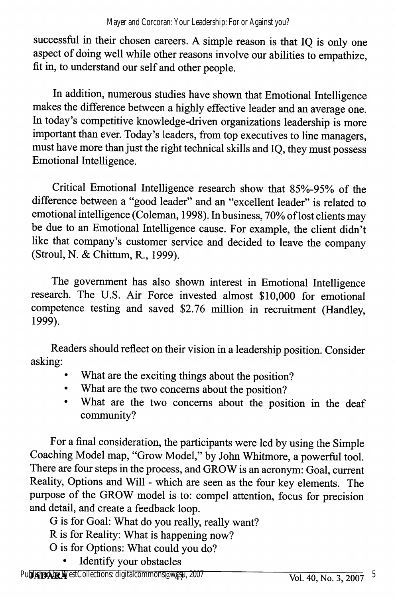successful in their chosen careers. A simple reason is that IQ is only one aspect of doing well while other reasons involve our abilities to empathize, fit in, to understand our self and other people.

In addition, numerous studies have shown that Emotional Intelligence makes the difference between a highly effective leader and an average one. In today's competitive knowledge-driven organizations leadership is more important than ever. Today's leaders, from top executives to line managers, must have more than just the right technical skills and IQ, they must possess Emotional Intelligence.

Critical Emotional Intelligence research show that 85%-95% of the difference between a "good leader" and an "excellent leader" is related to emotional intelligence (Coleman, 1998). In business, 70% of lost clients may be due to an Emotional Intelligence cause. For example, the client didn't like that company's customer service and decided to leave the company (Stroul, N. & Chittum, R., 1999).

The government has also shown interest in Emotional Intelligence research. The U.S. Air Force invested almost \$10,000 for emotional competence testing and saved \$2.76 million in recruitment (Handley, 1999).

Readers should reflect on their vision in a leadership position. Consider asking:

- What are the exciting things about the position?
- What are the two concerns about the position?
- What are the two concerns about the position in the deaf community?

For a final consideration, the participants were led by using the Simple Coaching Model map, "Grow Model," by John Whitmore, a powerful tool. There are four steps in the process, and GROW is an acronym: Goal, current Reality, Options and Will - which are seen as the four key elements. The piupose of the GROW model is to: compel attention, focus for precision and detail, and create a feedback loop.

- G is for Goal: What do you really, really want?
- R is for Reality: What is happening now?
- O is for Options: What could you do?
	- Identify your obstacles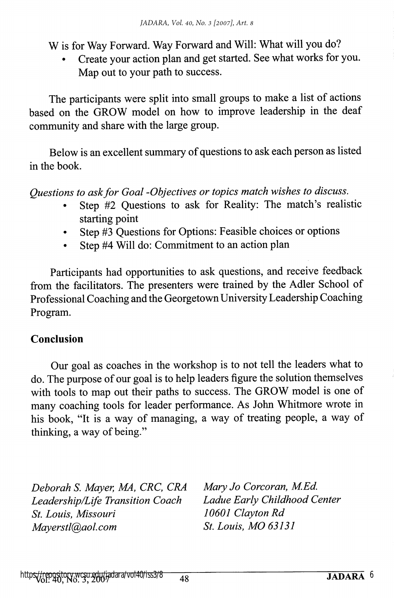W is for Way Forward. Way Forward and Will: What will you do?

• Create your action plan and get started. See what works for you. Map out to your path to success.

The participants were split into small groups to make a list of actions based on the GROW model on how to improve leadership in the deaf community and share with the large group.

Below is an excellent summary of questions to ask each person as listed in the book.

Questions to ask for Goal -Objectives or topics match wishes to discuss.

- Step #2 Questions to ask for Reality: The match's realistic starting point
- Step #3 Questions for Options: Feasible choices or options
- Step #4 Will do: Commitment to an action plan

Participants had opportunities to ask questions, and receive feedback from the facilitators. The presenters were trained by the Adler School of Professional Coaching and the Georgetown University Leadership Coaching Program.

## Conclusion

Our goal as coaches in the workshop is to not tell the leaders what to do. The purpose of our goal is to help leaders figure the solution themselves with tools to map out their paths to success. The GROW model is one of many coaching tools for leader performance. As John Whitmore wrote in his book, "It is a way of managing, a way of treating people, a way of thinking, a way of being."

Deborah S. Mayer, MA, CRC, CRA Mary Jo Corcoran, M.Ed. Leadership/Life Transition Coach Ladue Early Child<br>St. Louis. Missouri 10601 Clayton Rd St. Louis, Missouri Mayerstl@aol.com St. Louis, MO 63131